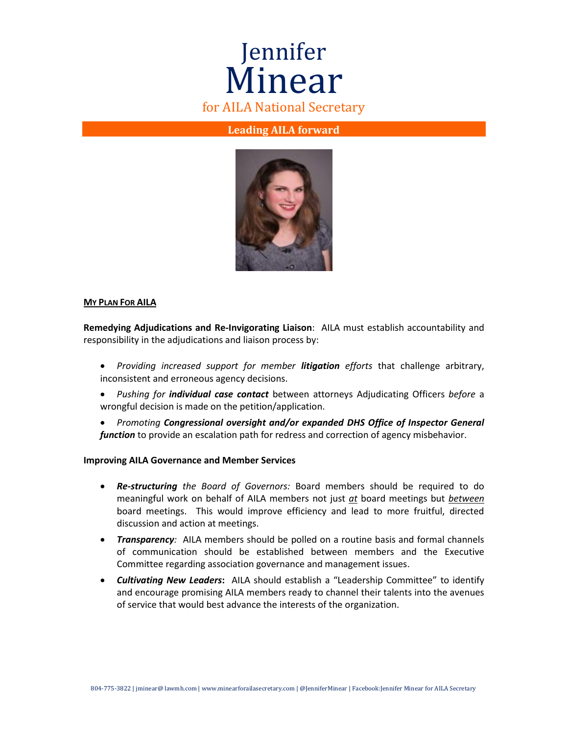# Jennifer Minear for AILA National Secretary

# **Leading AILA forward**



## **MY PLAN FOR AILA**

**Remedying Adjudications and Re-Invigorating Liaison**: AILA must establish accountability and responsibility in the adjudications and liaison process by:

- *Providing increased support for member litigation efforts* that challenge arbitrary, inconsistent and erroneous agency decisions.
- *Pushing for individual case contact* between attorneys Adjudicating Officers *before* a wrongful decision is made on the petition/application.
- *Promoting Congressional oversight and/or expanded DHS Office of Inspector General function* to provide an escalation path for redress and correction of agency misbehavior.

## **Improving AILA Governance and Member Services**

- *Re-structuring the Board of Governors:* Board members should be required to do meaningful work on behalf of AILA members not just *at* board meetings but *between* board meetings. This would improve efficiency and lead to more fruitful, directed discussion and action at meetings.
- *Transparency:* AILA members should be polled on a routine basis and formal channels of communication should be established between members and the Executive Committee regarding association governance and management issues.
- *Cultivating New Leaders***:** AILA should establish a "Leadership Committee" to identify and encourage promising AILA members ready to channel their talents into the avenues of service that would best advance the interests of the organization.